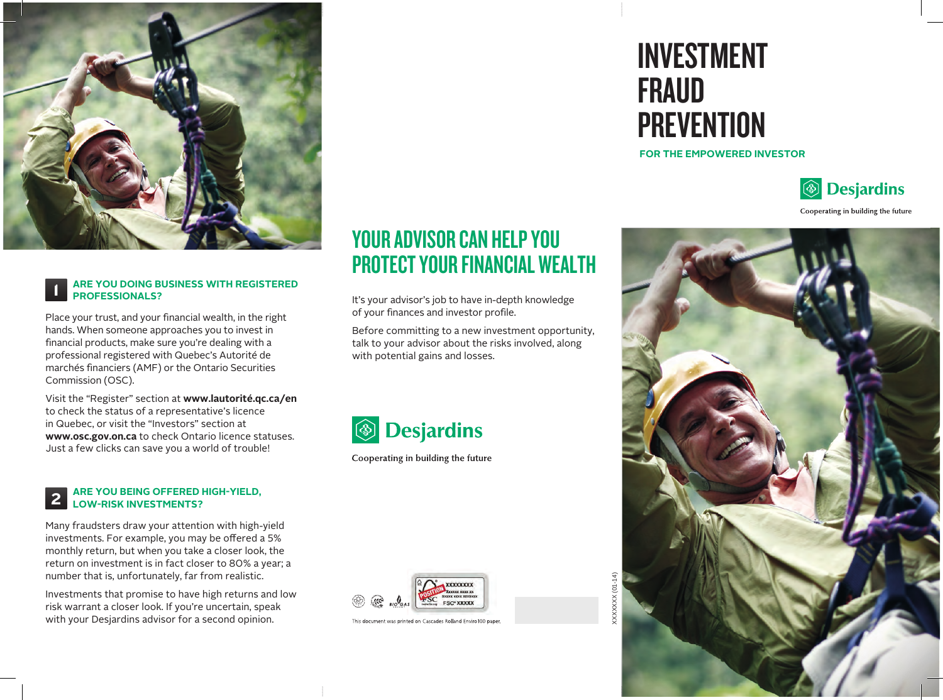

#### **ARE YOU DOING BUSINESS WITH REGISTERED PROFESSIONALS?**

Place your trust, and your financial wealth, in the right hands. When someone approaches you to invest in financial products, make sure you're dealing with a professional registered with Quebec's Autorité de marchés financiers (AMF) or the Ontario Securities Commission (OSC).

1

Visit the "Register" section at **www.lautorité.qc.ca/en** to check the status of a representative's licence in Quebec, or visit the "Investors" section at **www.osc.gov.on.ca** to check Ontario licence statuses. Just a few clicks can save you a world of trouble!

#### **ARE YOU BEING OFFERED HIGH-YIELD, LOW-RISK INVESTMENTS?** 2

Many fraudsters draw your attention with high-yield investments. For example, you may be offered a 5% monthly return, but when you take a closer look, the return on investment is in fact closer to 80% a year; a number that is, unfortunately, far from realistic.

Investments that promise to have high returns and low risk warrant a closer look. If you're uncertain, speak with your Desjardins advisor for a second opinion.

## YOUR ADVISOR CAN HELP YOU PROTECT YOUR FINANCIAL WEALTH

It's your advisor's job to have in-depth knowledge of your finances and investor profile.

Before committing to a new investment opportunity, talk to your advisor about the risks involved, along with potential gains and losses.



Cooperating in building the future



This document was printed on Cascades Rolland Enviro100 paper.

# INVESTMENT FRAUD **PREVENTION**

#### **FOR THE EMPOWERED INVESTOR**



Cooperating in building the future